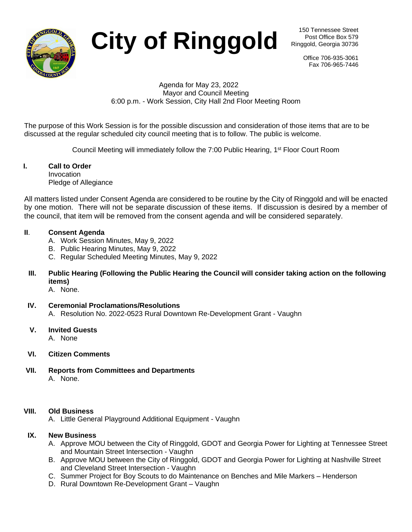

City of Ringgold **City** of  $\mathsf{Ringgold}$  **Ringgold**, Georgia 30736

Post Office Box 579 Ringgold, Georgia 30736

> Office 706-935-3061 Fax 706-965-7446

#### Agenda for May 23, 2022 Mayor and Council Meeting 6:00 p.m. - Work Session, City Hall 2nd Floor Meeting Room

The purpose of this Work Session is for the possible discussion and consideration of those items that are to be discussed at the regular scheduled city council meeting that is to follow. The public is welcome.

Council Meeting will immediately follow the 7:00 Public Hearing, 1<sup>st</sup> Floor Court Room

#### **I. Call to Order** Invocation Pledge of Allegiance

All matters listed under Consent Agenda are considered to be routine by the City of Ringgold and will be enacted by one motion. There will not be separate discussion of these items. If discussion is desired by a member of the council, that item will be removed from the consent agenda and will be considered separately.

# **II**. **Consent Agenda**

- A. Work Session Minutes, May 9, 2022
- B. Public Hearing Minutes, May 9, 2022
- C. Regular Scheduled Meeting Minutes, May 9, 2022
- **III. Public Hearing (Following the Public Hearing the Council will consider taking action on the following items)**

A. None.

- **IV. Ceremonial Proclamations/Resolutions** A. Resolution No. 2022-0523 Rural Downtown Re-Development Grant - Vaughn
- **V. Invited Guests**

A. None

- **VI. Citizen Comments**
- **VII. Reports from Committees and Departments** A. None.

# **VIII. Old Business**

A. Little General Playground Additional Equipment - Vaughn

# **IX. New Business**

- A. Approve MOU between the City of Ringgold, GDOT and Georgia Power for Lighting at Tennessee Street and Mountain Street Intersection - Vaughn
- B. Approve MOU between the City of Ringgold, GDOT and Georgia Power for Lighting at Nashville Street and Cleveland Street Intersection - Vaughn
- C. Summer Project for Boy Scouts to do Maintenance on Benches and Mile Markers Henderson
- D. Rural Downtown Re-Development Grant Vaughn